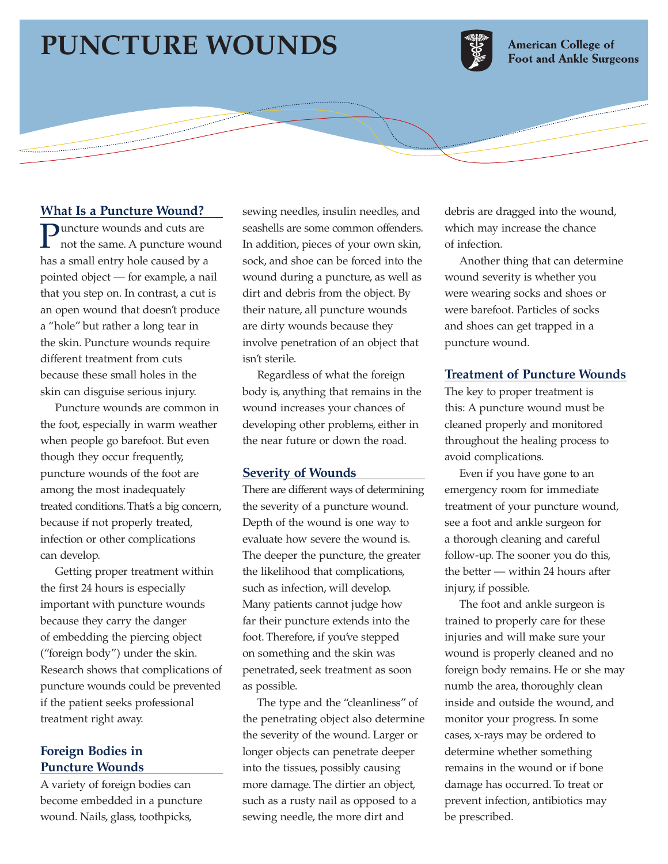# **PUNCTURE WOUNDS**



**American College of Foot and Ankle Surgeons** 

## **What Is a Puncture Wound?**

**Puncture wounds and cuts are**<br>not the same. A puncture wound has a small entry hole caused by a pointed object — for example, a nail that you step on. In contrast, a cut is an open wound that doesn't produce a "hole" but rather a long tear in the skin. Puncture wounds require different treatment from cuts because these small holes in the skin can disguise serious injury.

Puncture wounds are common in the foot, especially in warm weather when people go barefoot. But even though they occur frequently, puncture wounds of the foot are among the most inadequately treated conditions. That's a big concern, because if not properly treated, infection or other complications can develop.

Getting proper treatment within the first 24 hours is especially important with puncture wounds because they carry the danger of embedding the piercing object ("foreign body") under the skin. Research shows that complications of puncture wounds could be prevented if the patient seeks professional treatment right away.

# **Foreign Bodies in Puncture Wounds**

A variety of foreign bodies can become embedded in a puncture wound. Nails, glass, toothpicks,

sewing needles, insulin needles, and seashells are some common offenders. In addition, pieces of your own skin, sock, and shoe can be forced into the wound during a puncture, as well as dirt and debris from the object. By their nature, all puncture wounds are dirty wounds because they involve penetration of an object that isn't sterile.

Regardless of what the foreign body is, anything that remains in the wound increases your chances of developing other problems, either in the near future or down the road.

#### **Severity of Wounds**

There are different ways of determining the severity of a puncture wound. Depth of the wound is one way to evaluate how severe the wound is. The deeper the puncture, the greater the likelihood that complications, such as infection, will develop. Many patients cannot judge how far their puncture extends into the foot. Therefore, if you've stepped on something and the skin was penetrated, seek treatment as soon as possible.

The type and the "cleanliness" of the penetrating object also determine the severity of the wound. Larger or longer objects can penetrate deeper into the tissues, possibly causing more damage. The dirtier an object, such as a rusty nail as opposed to a sewing needle, the more dirt and

debris are dragged into the wound, which may increase the chance of infection.

Another thing that can determine wound severity is whether you were wearing socks and shoes or were barefoot. Particles of socks and shoes can get trapped in a puncture wound.

# **Treatment of Puncture Wounds**

The key to proper treatment is this: A puncture wound must be cleaned properly and monitored throughout the healing process to avoid complications.

Even if you have gone to an emergency room for immediate treatment of your puncture wound, see a foot and ankle surgeon for a thorough cleaning and careful follow-up. The sooner you do this, the better — within 24 hours after injury, if possible.

The foot and ankle surgeon is trained to properly care for these injuries and will make sure your wound is properly cleaned and no foreign body remains. He or she may numb the area, thoroughly clean inside and outside the wound, and monitor your progress. In some cases, x-rays may be ordered to determine whether something remains in the wound or if bone damage has occurred. To treat or prevent infection, antibiotics may be prescribed.